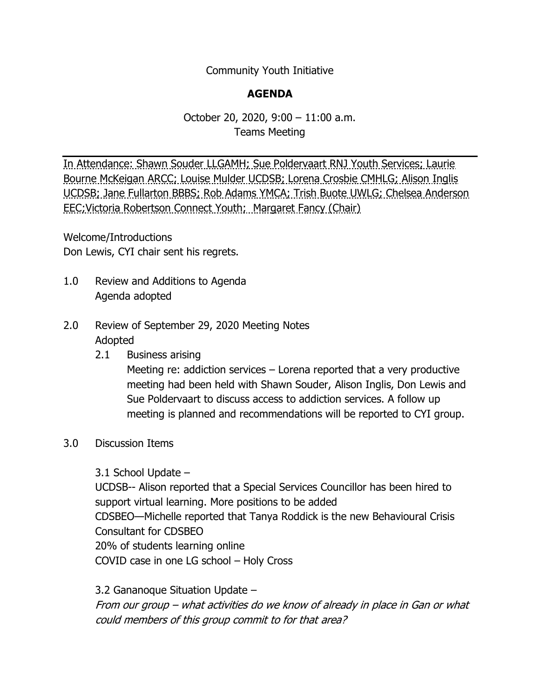Community Youth Initiative

## **AGENDA**

## October 20, 2020, 9:00 – 11:00 a.m. Teams Meeting

In Attendance: Shawn Souder LLGAMH; Sue Poldervaart RNJ Youth Services; Laurie Bourne McKeigan ARCC; Louise Mulder UCDSB; Lorena Crosbie CMHLG; Alison Inglis UCDSB; Jane Fullarton BBBS; Rob Adams YMCA; Trish Buote UWLG; Chelsea Anderson EEC;Victoria Robertson Connect Youth; Margaret Fancy (Chair)

Welcome/Introductions Don Lewis, CYI chair sent his regrets.

- 1.0 Review and Additions to Agenda Agenda adopted
- 2.0 Review of September 29, 2020 Meeting Notes Adopted
	- 2.1 Business arising

Meeting re: addiction services – Lorena reported that a very productive meeting had been held with Shawn Souder, Alison Inglis, Don Lewis and Sue Poldervaart to discuss access to addiction services. A follow up meeting is planned and recommendations will be reported to CYI group.

## 3.0 Discussion Items

3.1 School Update –

UCDSB-- Alison reported that a Special Services Councillor has been hired to support virtual learning. More positions to be added CDSBEO—Michelle reported that Tanya Roddick is the new Behavioural Crisis Consultant for CDSBEO 20% of students learning online COVID case in one LG school – Holy Cross

3.2 Gananoque Situation Update – From our group – what activities do we know of already in place in Gan or what could members of this group commit to for that area?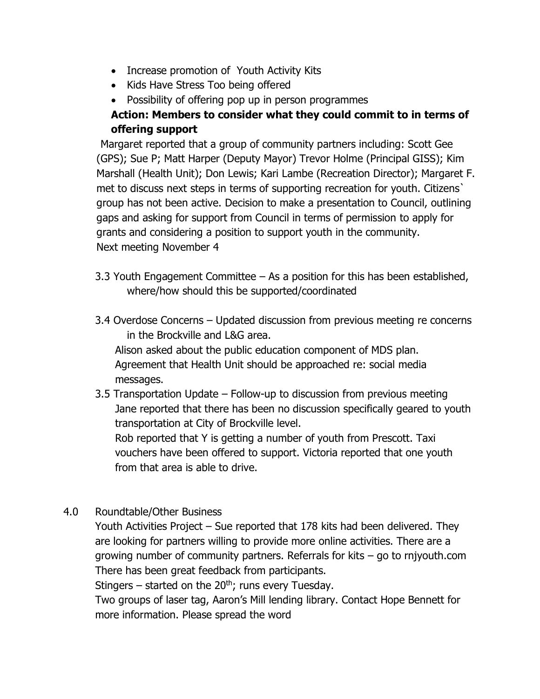- Increase promotion of Youth Activity Kits
- Kids Have Stress Too being offered
- Possibility of offering pop up in person programmes

## **Action: Members to consider what they could commit to in terms of offering support**

Margaret reported that a group of community partners including: Scott Gee (GPS); Sue P; Matt Harper (Deputy Mayor) Trevor Holme (Principal GISS); Kim Marshall (Health Unit); Don Lewis; Kari Lambe (Recreation Director); Margaret F. met to discuss next steps in terms of supporting recreation for youth. Citizens` group has not been active. Decision to make a presentation to Council, outlining gaps and asking for support from Council in terms of permission to apply for grants and considering a position to support youth in the community. Next meeting November 4

- 3.3 Youth Engagement Committee As a position for this has been established, where/how should this be supported/coordinated
- 3.4 Overdose Concerns Updated discussion from previous meeting re concerns in the Brockville and L&G area.

 Alison asked about the public education component of MDS plan. Agreement that Health Unit should be approached re: social media messages.

3.5 Transportation Update – Follow-up to discussion from previous meeting Jane reported that there has been no discussion specifically geared to youth transportation at City of Brockville level. Rob reported that Y is getting a number of youth from Prescott. Taxi

 vouchers have been offered to support. Victoria reported that one youth from that area is able to drive.

4.0 Roundtable/Other Business

Youth Activities Project – Sue reported that 178 kits had been delivered. They are looking for partners willing to provide more online activities. There are a growing number of community partners. Referrals for kits – go to rnjyouth.com There has been great feedback from participants.

Stingers – started on the  $20<sup>th</sup>$ ; runs every Tuesday.

Two groups of laser tag, Aaron's Mill lending library. Contact Hope Bennett for more information. Please spread the word